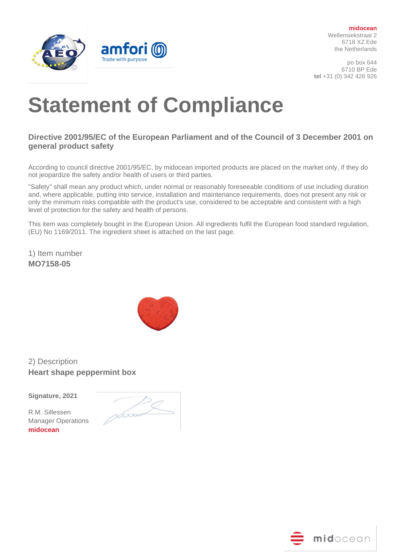

**midocean** Wellensiekstraat 2 6718 XZ Ede the Netherlands

po box 644 6710 BP Ede **tel** +31 (0) 342 426 926

## **Statement of Compliance**

## **Directive 2001/95/EC of the European Parliament and of the Council of 3 December 2001 on general product safety**

According to council directive 2001/95/EC, by midocean imported products are placed on the market only, if they do not jeopardize the safety and/or health of users or third parties.

"Safety" shall mean any product which, under normal or reasonably foreseeable conditions of use including duration and, where applicable, putting into service, installation and maintenance requirements, does not present any risk or only the minimum risks compatible with the product's use, considered to be acceptable and consistent with a high level of protection for the safety and health of persons.

This item was completely bought in the European Union. All ingredients fulfil the European food standard regulation, (EU) No 1169/2011. The ingredient sheet is attached on the last page.

1) Item number **MO7158-05**



2) Description **Heart shape peppermint box**

**Signature, 2021** 

R.M. Sillessen Manager Operations **midocean**

rboo